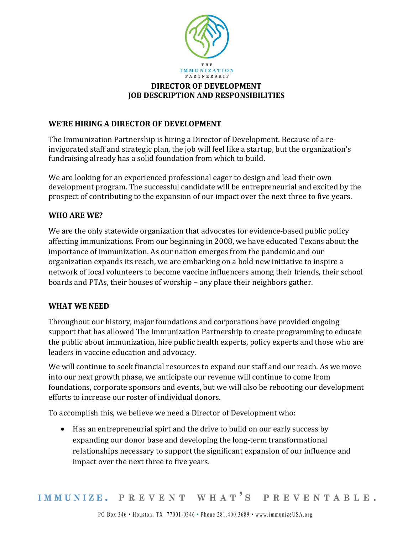

# **DIRECTOR OF DEVELOPMENT JOB DESCRIPTION AND RESPONSIBILITIES**

### **WE'RE HIRING A DIRECTOR OF DEVELOPMENT**

The Immunization Partnership is hiring a Director of Development. Because of a reinvigorated staff and strategic plan, the job will feel like a startup, but the organization's fundraising already has a solid foundation from which to build.

We are looking for an experienced professional eager to design and lead their own development program. The successful candidate will be entrepreneurial and excited by the prospect of contributing to the expansion of our impact over the next three to five years.

#### **WHO ARE WE?**

We are the only statewide organization that advocates for evidence-based public policy affecting immunizations. From our beginning in 2008, we have educated Texans about the importance of immunization. As our nation emerges from the pandemic and our organization expands its reach, we are embarking on a bold new initiative to inspire a network of local volunteers to become vaccine influencers among their friends, their school boards and PTAs, their houses of worship – any place their neighbors gather.

#### **WHAT WE NEED**

Throughout our history, major foundations and corporations have provided ongoing support that has allowed The Immunization Partnership to create programming to educate the public about immunization, hire public health experts, policy experts and those who are leaders in vaccine education and advocacy.

We will continue to seek financial resources to expand our staff and our reach. As we move into our next growth phase, we anticipate our revenue will continue to come from foundations, corporate sponsors and events, but we will also be rebooting our development efforts to increase our roster of individual donors.

To accomplish this, we believe we need a Director of Development who:

• Has an entrepreneurial spirt and the drive to build on our early success by expanding our donor base and developing the long-term transformational relationships necessary to support the significant expansion of our influence and impact over the next three to five years.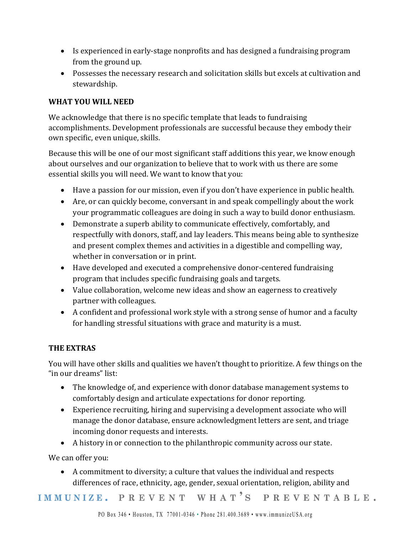- Is experienced in early-stage nonprofits and has designed a fundraising program from the ground up.
- Possesses the necessary research and solicitation skills but excels at cultivation and stewardship.

# **WHAT YOU WILL NEED**

We acknowledge that there is no specific template that leads to fundraising accomplishments. Development professionals are successful because they embody their own specific, even unique, skills.

Because this will be one of our most significant staff additions this year, we know enough about ourselves and our organization to believe that to work with us there are some essential skills you will need. We want to know that you:

- Have a passion for our mission, even if you don't have experience in public health.
- Are, or can quickly become, conversant in and speak compellingly about the work your programmatic colleagues are doing in such a way to build donor enthusiasm.
- Demonstrate a superb ability to communicate effectively, comfortably, and respectfully with donors, staff, and lay leaders. This means being able to synthesize and present complex themes and activities in a digestible and compelling way, whether in conversation or in print.
- Have developed and executed a comprehensive donor-centered fundraising program that includes specific fundraising goals and targets.
- Value collaboration, welcome new ideas and show an eagerness to creatively partner with colleagues.
- A confident and professional work style with a strong sense of humor and a faculty for handling stressful situations with grace and maturity is a must.

# **THE EXTRAS**

You will have other skills and qualities we haven't thought to prioritize. A few things on the "in our dreams" list:

- The knowledge of, and experience with donor database management systems to comfortably design and articulate expectations for donor reporting.
- Experience recruiting, hiring and supervising a development associate who will manage the donor database, ensure acknowledgment letters are sent, and triage incoming donor requests and interests.
- A history in or connection to the philanthropic community across our state.

We can offer you:

• A commitment to diversity; a culture that values the individual and respects differences of race, ethnicity, age, gender, sexual orientation, religion, ability and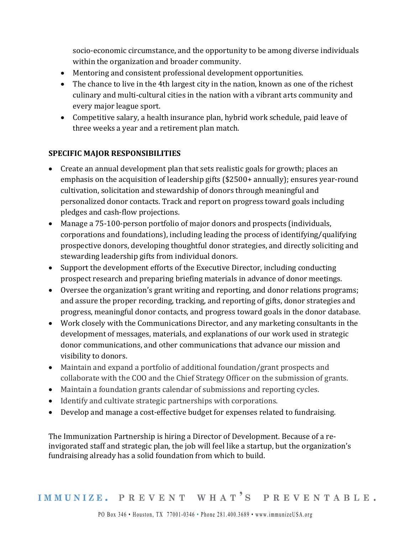socio-economic circumstance, and the opportunity to be among diverse individuals within the organization and broader community.

- Mentoring and consistent professional development opportunities.
- The chance to live in the 4th largest city in the nation, known as one of the richest culinary and multi-cultural cities in the nation with a vibrant arts community and every major league sport.
- Competitive salary, a health insurance plan, hybrid work schedule, paid leave of three weeks a year and a retirement plan match.

### **SPECIFIC MAJOR RESPONSIBILITIES**

- Create an annual development plan that sets realistic goals for growth; places an emphasis on the acquisition of leadership gifts (\$2500+ annually); ensures year-round cultivation, solicitation and stewardship of donors through meaningful and personalized donor contacts. Track and report on progress toward goals including pledges and cash-flow projections.
- Manage a 75-100-person portfolio of major donors and prospects (individuals, corporations and foundations), including leading the process of identifying/qualifying prospective donors, developing thoughtful donor strategies, and directly soliciting and stewarding leadership gifts from individual donors.
- Support the development efforts of the Executive Director, including conducting prospect research and preparing briefing materials in advance of donor meetings.
- Oversee the organization's grant writing and reporting, and donor relations programs; and assure the proper recording, tracking, and reporting of gifts, donor strategies and progress, meaningful donor contacts, and progress toward goals in the donor database.
- Work closely with the Communications Director, and any marketing consultants in the development of messages, materials, and explanations of our work used in strategic donor communications, and other communications that advance our mission and visibility to donors.
- Maintain and expand a portfolio of additional foundation/grant prospects and collaborate with the COO and the Chief Strategy Officer on the submission of grants.
- Maintain a foundation grants calendar of submissions and reporting cycles.
- Identify and cultivate strategic partnerships with corporations.
- Develop and manage a cost-effective budget for expenses related to fundraising.

The Immunization Partnership is hiring a Director of Development. Because of a reinvigorated staff and strategic plan, the job will feel like a startup, but the organization's fundraising already has a solid foundation from which to build.